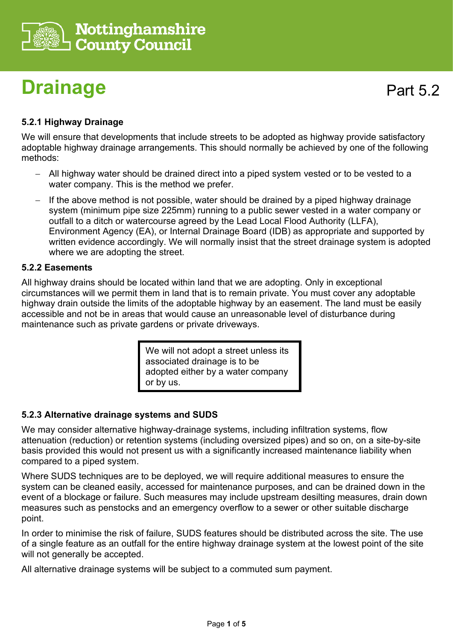

# **Drainage**

# **5.2.1 Highway Drainage**

We will ensure that developments that include streets to be adopted as highway provide satisfactory adoptable highway drainage arrangements. This should normally be achieved by one of the following methods:

- − All highway water should be drained direct into a piped system vested or to be vested to a water company. This is the method we prefer.
- − If the above method is not possible, water should be drained by a piped highway drainage system (minimum pipe size 225mm) running to a public sewer vested in a water company or outfall to a ditch or watercourse agreed by the Lead Local Flood Authority (LLFA), Environment Agency (EA), or Internal Drainage Board (IDB) as appropriate and supported by written evidence accordingly. We will normally insist that the street drainage system is adopted where we are adopting the street.

### **5.2.2 Easements**

All highway drains should be located within land that we are adopting. Only in exceptional circumstances will we permit them in land that is to remain private. You must cover any adoptable highway drain outside the limits of the adoptable highway by an easement. The land must be easily accessible and not be in areas that would cause an unreasonable level of disturbance during maintenance such as private gardens or private driveways.

> We will not adopt a street unless its associated drainage is to be adopted either by a water company or by us.

### **5.2.3 Alternative drainage systems and SUDS**

We may consider alternative highway-drainage systems, including infiltration systems, flow attenuation (reduction) or retention systems (including oversized pipes) and so on, on a site-by-site basis provided this would not present us with a significantly increased maintenance liability when compared to a piped system.

Where SUDS techniques are to be deployed, we will require additional measures to ensure the system can be cleaned easily, accessed for maintenance purposes, and can be drained down in the event of a blockage or failure. Such measures may include upstream desilting measures, drain down measures such as penstocks and an emergency overflow to a sewer or other suitable discharge point.

In order to minimise the risk of failure, SUDS features should be distributed across the site. The use of a single feature as an outfall for the entire highway drainage system at the lowest point of the site will not generally be accepted.

All alternative drainage systems will be subject to a commuted sum payment.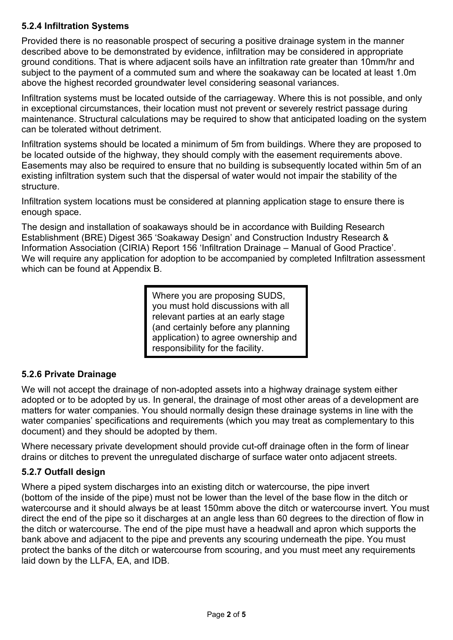## **5.2.4 Infiltration Systems**

Provided there is no reasonable prospect of securing a positive drainage system in the manner described above to be demonstrated by evidence, infiltration may be considered in appropriate ground conditions. That is where adjacent soils have an infiltration rate greater than 10mm/hr and subject to the payment of a commuted sum and where the soakaway can be located at least 1.0m above the highest recorded groundwater level considering seasonal variances.

Infiltration systems must be located outside of the carriageway. Where this is not possible, and only in exceptional circumstances, their location must not prevent or severely restrict passage during maintenance. Structural calculations may be required to show that anticipated loading on the system can be tolerated without detriment.

Infiltration systems should be located a minimum of 5m from buildings. Where they are proposed to be located outside of the highway, they should comply with the easement requirements above. Easements may also be required to ensure that no building is subsequently located within 5m of an existing infiltration system such that the dispersal of water would not impair the stability of the structure.

Infiltration system locations must be considered at planning application stage to ensure there is enough space.

The design and installation of soakaways should be in accordance with Building Research Establishment (BRE) Digest 365 'Soakaway Design' and Construction Industry Research & Information Association (CIRIA) Report 156 'Infiltration Drainage – Manual of Good Practice'. We will require any application for adoption to be accompanied by completed Infiltration assessment which can be found at Appendix B.

> Where you are proposing SUDS, you must hold discussions with all relevant parties at an early stage (and certainly before any planning application) to agree ownership and responsibility for the facility.

## **5.2.6 Private Drainage**

We will not accept the drainage of non-adopted assets into a highway drainage system either adopted or to be adopted by us. In general, the drainage of most other areas of a development are matters for water companies. You should normally design these drainage systems in line with the water companies' specifications and requirements (which you may treat as complementary to this document) and they should be adopted by them.

Where necessary private development should provide cut-off drainage often in the form of linear drains or ditches to prevent the unregulated discharge of surface water onto adjacent streets.

### **5.2.7 Outfall design**

Where a piped system discharges into an existing ditch or watercourse, the pipe invert (bottom of the inside of the pipe) must not be lower than the level of the base flow in the ditch or watercourse and it should always be at least 150mm above the ditch or watercourse invert. You must direct the end of the pipe so it discharges at an angle less than 60 degrees to the direction of flow in the ditch or watercourse. The end of the pipe must have a headwall and apron which supports the bank above and adjacent to the pipe and prevents any scouring underneath the pipe. You must protect the banks of the ditch or watercourse from scouring, and you must meet any requirements laid down by the LLFA, EA, and IDB.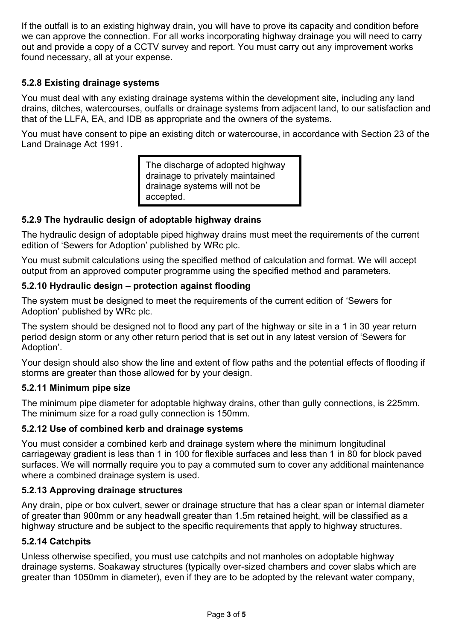If the outfall is to an existing highway drain, you will have to prove its capacity and condition before we can approve the connection. For all works incorporating highway drainage you will need to carry out and provide a copy of a CCTV survey and report. You must carry out any improvement works found necessary, all at your expense.

## **5.2.8 Existing drainage systems**

You must deal with any existing drainage systems within the development site, including any land drains, ditches, watercourses, outfalls or drainage systems from adjacent land, to our satisfaction and that of the LLFA, EA, and IDB as appropriate and the owners of the systems.

You must have consent to pipe an existing ditch or watercourse, in accordance with Section 23 of the Land Drainage Act 1991.

> The discharge of adopted highway drainage to privately maintained drainage systems will not be accepted.

## **5.2.9 The hydraulic design of adoptable highway drains**

The hydraulic design of adoptable piped highway drains must meet the requirements of the current edition of 'Sewers for Adoption' published by WRc plc.

You must submit calculations using the specified method of calculation and format. We will accept output from an approved computer programme using the specified method and parameters.

### **5.2.10 Hydraulic design – protection against flooding**

The system must be designed to meet the requirements of the current edition of 'Sewers for Adoption' published by WRc plc.

The system should be designed not to flood any part of the highway or site in a 1 in 30 year return period design storm or any other return period that is set out in any latest version of 'Sewers for Adoption'.

Your design should also show the line and extent of flow paths and the potential effects of flooding if storms are greater than those allowed for by your design.

### **5.2.11 Minimum pipe size**

The minimum pipe diameter for adoptable highway drains, other than gully connections, is 225mm. The minimum size for a road gully connection is 150mm.

### **5.2.12 Use of combined kerb and drainage systems**

You must consider a combined kerb and drainage system where the minimum longitudinal carriageway gradient is less than 1 in 100 for flexible surfaces and less than 1 in 80 for block paved surfaces. We will normally require you to pay a commuted sum to cover any additional maintenance where a combined drainage system is used.

### **5.2.13 Approving drainage structures**

Any drain, pipe or box culvert, sewer or drainage structure that has a clear span or internal diameter of greater than 900mm or any headwall greater than 1.5m retained height, will be classified as a highway structure and be subject to the specific requirements that apply to highway structures.

### **5.2.14 Catchpits**

Unless otherwise specified, you must use catchpits and not manholes on adoptable highway drainage systems. Soakaway structures (typically over-sized chambers and cover slabs which are greater than 1050mm in diameter), even if they are to be adopted by the relevant water company,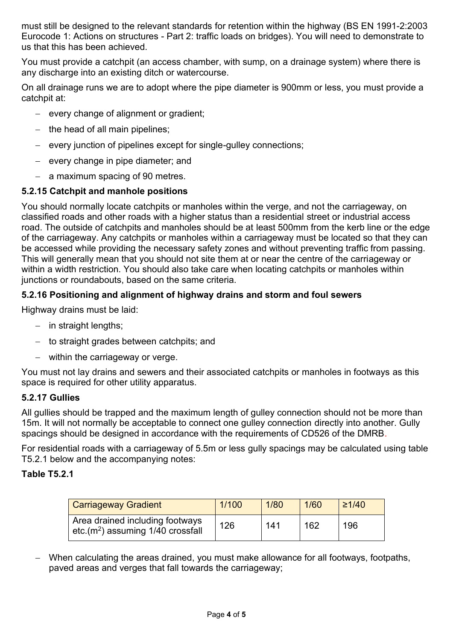must still be designed to the relevant standards for retention within the highway (BS EN 1991-2:2003 Eurocode 1: Actions on structures - Part 2: traffic loads on bridges). You will need to demonstrate to us that this has been achieved.

You must provide a catchpit (an access chamber, with sump, on a drainage system) where there is any discharge into an existing ditch or watercourse.

On all drainage runs we are to adopt where the pipe diameter is 900mm or less, you must provide a catchpit at:

- − every change of alignment or gradient;
- − the head of all main pipelines;
- − every junction of pipelines except for single-gulley connections;
- − every change in pipe diameter; and
- − a maximum spacing of 90 metres.

### **5.2.15 Catchpit and manhole positions**

You should normally locate catchpits or manholes within the verge, and not the carriageway, on classified roads and other roads with a higher status than a residential street or industrial access road. The outside of catchpits and manholes should be at least 500mm from the kerb line or the edge of the carriageway. Any catchpits or manholes within a carriageway must be located so that they can be accessed while providing the necessary safety zones and without preventing traffic from passing. This will generally mean that you should not site them at or near the centre of the carriageway or within a width restriction. You should also take care when locating catchpits or manholes within junctions or roundabouts, based on the same criteria.

#### **5.2.16 Positioning and alignment of highway drains and storm and foul sewers**

Highway drains must be laid:

- − in straight lengths;
- − to straight grades between catchpits; and
- − within the carriageway or verge.

You must not lay drains and sewers and their associated catchpits or manholes in footways as this space is required for other utility apparatus.

#### **5.2.17 Gullies**

All gullies should be trapped and the maximum length of gulley connection should not be more than 15m. It will not normally be acceptable to connect one gulley connection directly into another. Gully spacings should be designed in accordance with the requirements of CD526 of the DMRB.

For residential roads with a carriageway of 5.5m or less gully spacings may be calculated using table T5.2.1 below and the accompanying notes:

#### **Table T5.2.1**

| <b>Carriageway Gradient</b>                                           | 1/100 | 1/80 | 1/60 | $\geq$ 1/40 |
|-----------------------------------------------------------------------|-------|------|------|-------------|
| Area drained including footways<br>$etc.(m2)$ assuming 1/40 crossfall | 126   | 141  | 162  | 196         |

− When calculating the areas drained, you must make allowance for all footways, footpaths, paved areas and verges that fall towards the carriageway;